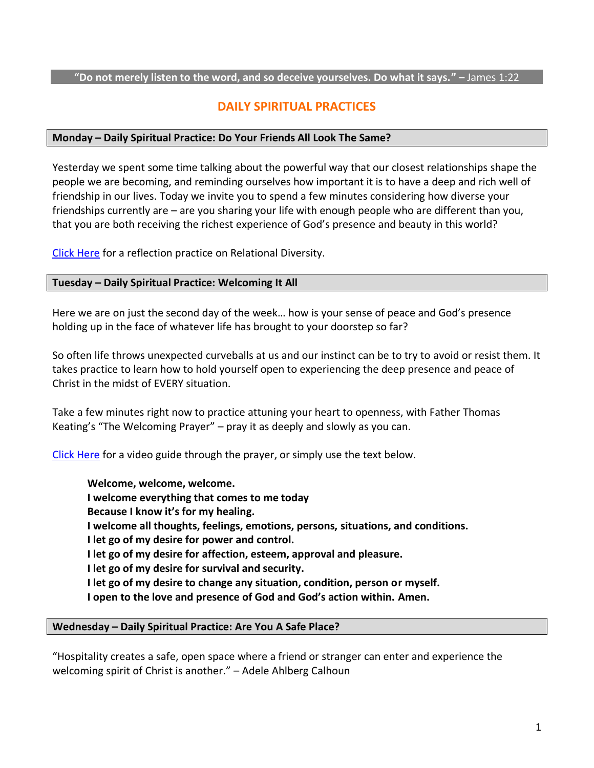#### **"Do not merely listen to the word, and so deceive yourselves. Do what it says." –** James 1:22

# **DAILY SPIRITUAL PRACTICES**

### **Monday – Daily Spiritual Practice: Do Your Friends All Look The Same?**

Yesterday we spent some time talking about the powerful way that our closest relationships shape the people we are becoming, and reminding ourselves how important it is to have a deep and rich well of friendship in our lives. Today we invite you to spend a few minutes considering how diverse your friendships currently are – are you sharing your life with enough people who are different than you, that you are both receiving the richest experience of God's presence and beauty in this world?

[Click Here](https://southridgechurch.ca/wp-content/uploads/2022/06/REFLECTION-Relational-Diversity.pdf) for a reflection practice on Relational Diversity.

### **Tuesday – Daily Spiritual Practice: Welcoming It All**

Here we are on just the second day of the week… how is your sense of peace and God's presence holding up in the face of whatever life has brought to your doorstep so far?

So often life throws unexpected curveballs at us and our instinct can be to try to avoid or resist them. It takes practice to learn how to hold yourself open to experiencing the deep presence and peace of Christ in the midst of EVERY situation.

Take a few minutes right now to practice attuning your heart to openness, with Father Thomas Keating's "The Welcoming Prayer" – pray it as deeply and slowly as you can.

[Click Here](https://www.youtube.com/watch?v=1_vW4-3xmak) for a video guide through the prayer, or simply use the text below.

**Welcome, welcome, welcome. I welcome everything that comes to me today Because I know it's for my healing. I welcome all thoughts, feelings, emotions, persons, situations, and conditions. I let go of my desire for power and control. I let go of my desire for affection, esteem, approval and pleasure. I let go of my desire for survival and security. I let go of my desire to change any situation, condition, person or myself. I open to the love and presence of God and God's action within. Amen.** 

### **Wednesday – Daily Spiritual Practice: Are You A Safe Place?**

"Hospitality creates a safe, open space where a friend or stranger can enter and experience the welcoming spirit of Christ is another." – Adele Ahlberg Calhoun